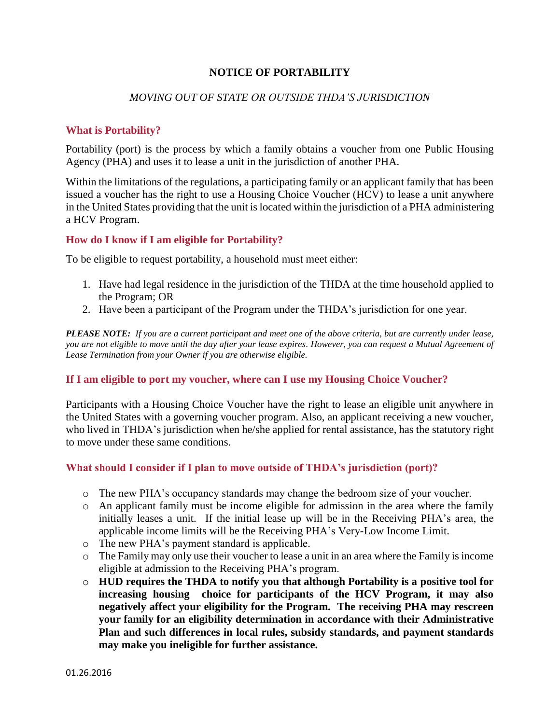# **NOTICE OF PORTABILITY**

### *MOVING OUT OF STATE OR OUTSIDE THDA'S JURISDICTION*

### **What is Portability?**

Portability (port) is the process by which a family obtains a voucher from one Public Housing Agency (PHA) and uses it to lease a unit in the jurisdiction of another PHA.

Within the limitations of the regulations, a participating family or an applicant family that has been issued a voucher has the right to use a Housing Choice Voucher (HCV) to lease a unit anywhere in the United States providing that the unit is located within the jurisdiction of a PHA administering a HCV Program.

### **How do I know if I am eligible for Portability?**

To be eligible to request portability, a household must meet either:

- 1. Have had legal residence in the jurisdiction of the THDA at the time household applied to the Program; OR
- 2. Have been a participant of the Program under the THDA's jurisdiction for one year.

*PLEASE NOTE: If you are a current participant and meet one of the above criteria, but are currently under lease, you are not eligible to move until the day after your lease expires. However, you can request a Mutual Agreement of Lease Termination from your Owner if you are otherwise eligible.*

## **If I am eligible to port my voucher, where can I use my Housing Choice Voucher?**

Participants with a Housing Choice Voucher have the right to lease an eligible unit anywhere in the United States with a governing voucher program. Also, an applicant receiving a new voucher, who lived in THDA's jurisdiction when he/she applied for rental assistance, has the statutory right to move under these same conditions.

### **What should I consider if I plan to move outside of THDA's jurisdiction (port)?**

- o The new PHA's occupancy standards may change the bedroom size of your voucher.
- o An applicant family must be income eligible for admission in the area where the family initially leases a unit. If the initial lease up will be in the Receiving PHA's area, the applicable income limits will be the Receiving PHA's Very-Low Income Limit.
- o The new PHA's payment standard is applicable.
- o The Family may only use their voucher to lease a unit in an area where the Family is income eligible at admission to the Receiving PHA's program.
- o **HUD requires the THDA to notify you that although Portability is a positive tool for increasing housing choice for participants of the HCV Program, it may also negatively affect your eligibility for the Program. The receiving PHA may rescreen your family for an eligibility determination in accordance with their Administrative Plan and such differences in local rules, subsidy standards, and payment standards may make you ineligible for further assistance.**